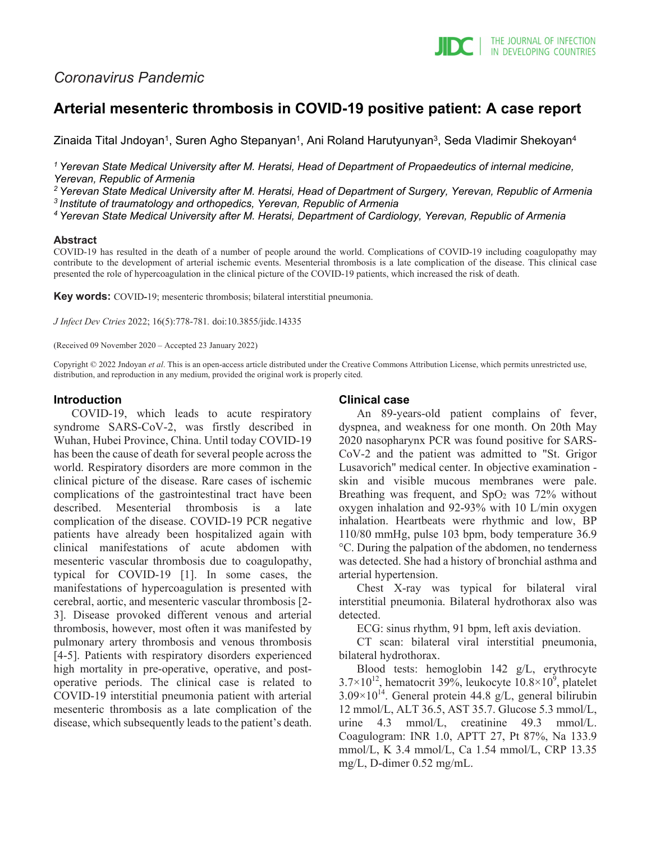## *Coronavirus Pandemic*

# **Arterial mesenteric thrombosis in COVID-19 positive patient: A case report**

Zinaida Tital Jndoyan<sup>1</sup>, Suren Agho Stepanyan<sup>1</sup>, Ani Roland Harutyunyan<sup>3</sup>, Seda Vladimir Shekoyan<sup>4</sup>

*1 Yerevan State Medical University after M. Heratsi, Head of Department of Propaedeutics of internal medicine, Yerevan, Republic of Armenia*

*2 Yerevan State Medical University after M. Heratsi, Head of Department of Surgery, Yerevan, Republic of Armenia 3 Institute of traumatology and orthopedics, Yerevan, Republic of Armenia*

*4 Yerevan State Medical University after M. Heratsi, Department of Cardiology, Yerevan, Republic of Armenia*

#### **Abstract**

COVID-19 has resulted in the death of a number of people around the world. Complications of COVID-19 including coagulopathy may contribute to the development of arterial ischemic events. Mesenterial thrombosis is a late complication of the disease. This clinical case presented the role of hypercoagulation in the clinical picture of the COVID-19 patients, which increased the risk of death.

**Key words:** COVID**-**19; mesenteric thrombosis; bilateral interstitial pneumonia.

*J Infect Dev Ctries* 2022; 16(5):778-781*.* doi:10.3855/jidc.14335

(Received 09 November 2020 – Accepted 23 January 2022)

Copyright © 2022 Jndoyan *et al*. This is an open-access article distributed under the Creative Commons Attribution License, which permits unrestricted use, distribution, and reproduction in any medium, provided the original work is properly cited.

### **Introduction**

COVID-19, which leads to acute respiratory syndrome SARS-CoV-2, was firstly described in Wuhan, Hubei Province, China. Until today COVID-19 has been the cause of death for several people across the world. Respiratory disorders are more common in the clinical picture of the disease. Rare cases of ischemic complications of the gastrointestinal tract have been described. Mesenterial thrombosis is a late complication of the disease. COVID-19 PCR negative patients have already been hospitalized again with clinical manifestations of acute abdomen with mesenteric vascular thrombosis due to coagulopathy, typical for COVID-19 [1]. In some cases, the manifestations of hypercoagulation is presented with cerebral, aortic, and mesenteric vascular thrombosis [2- 3]. Disease provoked different venous and arterial thrombosis, however, most often it was manifested by pulmonary artery thrombosis and venous thrombosis [4-5]. Patients with respiratory disorders experienced high mortality in pre-operative, operative, and postoperative periods. The clinical case is related to COVID-19 interstitial pneumonia patient with arterial mesenteric thrombosis as a late complication of the disease, which subsequently leads to the patient's death.

### **Clinical case**

An 89-years-old patient complains of fever, dyspnea, and weakness for one month. On 20th May 2020 nasopharynx PCR was found positive for SARS-CoV-2 and the patient was admitted to "St. Grigor Lusavorich" medical center. In objective examination skin and visible mucous membranes were pale. Breathing was frequent, and  $SpO<sub>2</sub>$  was 72% without oxygen inhalation and 92-93% with 10 L/min oxygen inhalation. Heartbeats were rhythmic and low, BP 110/80 mmHg, pulse 103 bpm, body temperature 36.9 °C. During the palpation of the abdomen, no tenderness was detected. She had a history of bronchial asthma and arterial hypertension.

Chest X-ray was typical for bilateral viral interstitial pneumonia. Bilateral hydrothorax also was detected.

ECG: sinus rhythm, 91 bpm, left axis deviation.

CT scan: bilateral viral interstitial pneumonia, bilateral hydrothorax.

Blood tests: hemoglobin 142 g/L, erythrocyte  $3.7 \times 10^{12}$ , hematocrit 39%, leukocyte  $10.8 \times 10^{9}$ , platelet  $3.09\times10^{14}$ . General protein 44.8 g/L, general bilirubin 12 mmol/L, ALT 36.5, AST 35.7. Glucose 5.3 mmol/L, urine 4.3 mmol/L, creatinine 49.3 mmol/L. Coagulogram: INR 1.0, APTT 27, Pt 87%, Na 133.9 mmol/L, K 3.4 mmol/L, Ca 1.54 mmol/L, CRP 13.35 mg/L, D-dimer 0.52 mg/mL.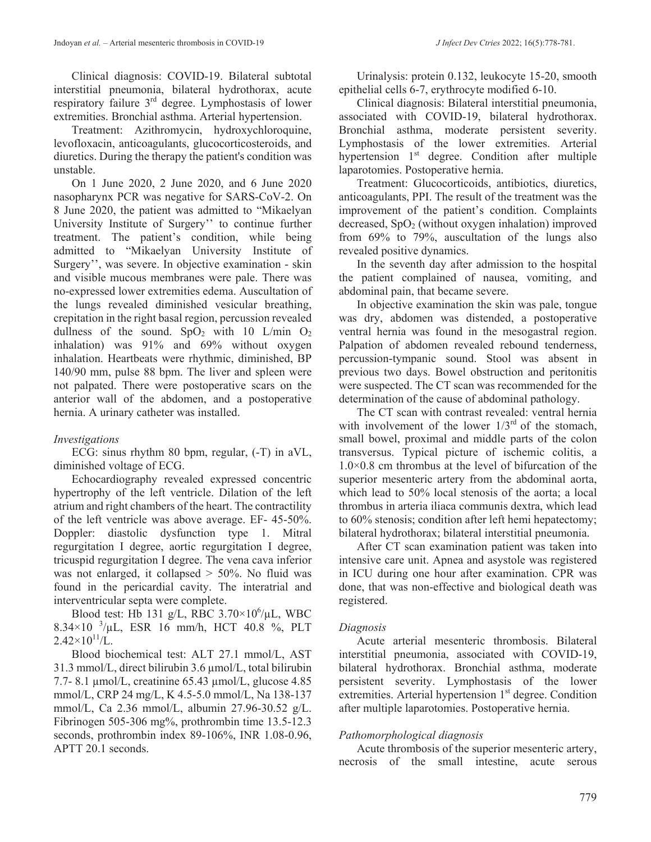Clinical diagnosis: COVID-19. Bilateral subtotal interstitial pneumonia, bilateral hydrothorax, acute respiratory failure 3rd degree. Lymphostasis of lower extremities. Bronchial asthma. Arterial hypertension.

Treatment: Azithromycin, hydroxychloroquine, levofloxacin, anticoagulants, glucocorticosteroids, and diuretics. During the therapy the patient's condition was unstable.

On 1 June 2020, 2 June 2020, and 6 June 2020 nasopharynx PCR was negative for SARS-CoV-2. On 8 June 2020, the patient was admitted to "Mikaelyan University Institute of Surgery'' to continue further treatment. The patient's condition, while being admitted to "Mikaelyan University Institute of Surgery'', was severe. In objective examination - skin and visible mucous membranes were pale. There was no-expressed lower extremities edema. Auscultation of the lungs revealed diminished vesicular breathing, crepitation in the right basal region, percussion revealed dullness of the sound.  $SpO<sub>2</sub>$  with 10 L/min  $O<sub>2</sub>$ inhalation) was 91% and 69% without oxygen inhalation. Heartbeats were rhythmic, diminished, BP 140/90 mm, pulse 88 bpm. The liver and spleen were not palpated. There were postoperative scars on the anterior wall of the abdomen, and a postoperative hernia. A urinary catheter was installed.

### *Investigations*

ECG: sinus rhythm 80 bpm, regular, (-T) in aVL, diminished voltage of ECG.

Echocardiography revealed expressed concentric hypertrophy of the left ventricle. Dilation of the left atrium and right chambers of the heart. The contractility of the left ventricle was above average. EF- 45-50%. Doppler: diastolic dysfunction type 1. Mitral regurgitation I degree, aortic regurgitation I degree, tricuspid regurgitation I degree. The vena cava inferior was not enlarged, it collapsed  $>$  50%. No fluid was found in the pericardial cavity. The interatrial and interventricular septa were complete.

Blood test: Hb 131 g/L, RBC  $3.70 \times 10^6 / \mu L$ , WBC  $8.34 \times 10^{-3}$ /µL, ESR 16 mm/h, HCT 40.8 %, PLT  $2.42\times10^{11}$ /L.

Blood biochemical test: ALT 27.1 mmol/L, AST 31.3 mmol/L, direct bilirubin 3.6 µmol/L, total bilirubin 7.7- 8.1 µmol/L, creatinine 65.43 µmol/L, glucose 4.85 mmol/L, CRP 24 mg/L, K 4.5-5.0 mmol/L, Na 138-137 mmol/L, Ca 2.36 mmol/L, albumin 27.96-30.52 g/L. Fibrinogen 505-306 mg%, prothrombin time 13.5-12.3 seconds, prothrombin index 89-106%, INR 1.08-0.96, APTT 20.1 seconds.

Urinalysis: protein 0.132, leukocyte 15-20, smooth epithelial cells 6-7, erythrocyte modified 6-10.

Clinical diagnosis: Bilateral interstitial pneumonia, associated with COVID-19, bilateral hydrothorax. Bronchial asthma, moderate persistent severity. Lymphostasis of the lower extremities. Arterial hypertension 1<sup>st</sup> degree. Condition after multiple laparotomies. Postoperative hernia.

Treatment: Glucocorticoids, antibiotics, diuretics, anticoagulants, PPI. The result of the treatment was the improvement of the patient's condition. Complaints decreased,  $SpO<sub>2</sub>$  (without oxygen inhalation) improved from 69% to 79%, auscultation of the lungs also revealed positive dynamics.

In the seventh day after admission to the hospital the patient complained of nausea, vomiting, and abdominal pain, that became severe.

In objective examination the skin was pale, tongue was dry, abdomen was distended, a postoperative ventral hernia was found in the mesogastral region. Palpation of abdomen revealed rebound tenderness, percussion-tympanic sound. Stool was absent in previous two days. Bowel obstruction and peritonitis were suspected. The CT scan was recommended for the determination of the cause of abdominal pathology.

The CT scan with contrast revealed: ventral hernia with involvement of the lower  $1/3^{rd}$  of the stomach, small bowel, proximal and middle parts of the colon transversus. Typical picture of ischemic colitis, a 1.0×0.8 cm thrombus at the level of bifurcation of the superior mesenteric artery from the abdominal aorta, which lead to 50% local stenosis of the aorta; a local thrombus in arteria iliaca communis dextra, which lead to 60% stenosis; condition after left hemi hepatectomy; bilateral hydrothorax; bilateral interstitial pneumonia.

After CT scan examination patient was taken into intensive care unit. Apnea and asystole was registered in ICU during one hour after examination. CPR was done, that was non-effective and biological death was registered.

### *Diagnosis*

Acute arterial mesenteric thrombosis. Bilateral interstitial pneumonia, associated with COVID-19, bilateral hydrothorax. Bronchial asthma, moderate persistent severity. Lymphostasis of the lower extremities. Arterial hypertension 1<sup>st</sup> degree. Condition after multiple laparotomies. Postoperative hernia.

### *Pathomorphological diagnosis*

Acute thrombosis of the superior mesenteric artery, necrosis of the small intestine, acute serous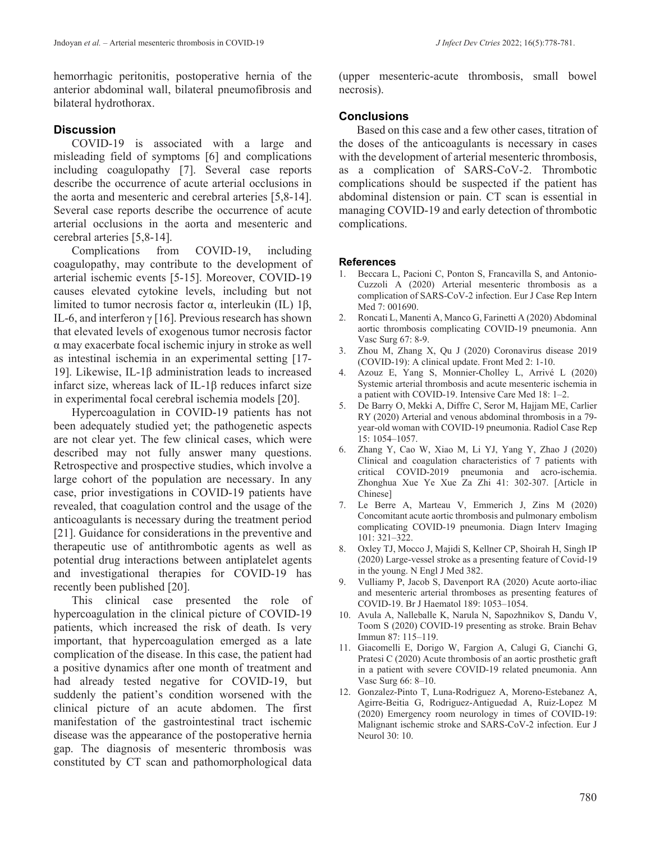hemorrhagic peritonitis, postoperative hernia of the anterior abdominal wall, bilateral pneumofibrosis and bilateral hydrothorax.

## **Discussion**

COVID-19 is associated with a large and misleading field of symptoms [6] and complications including coagulopathy [7]. Several case reports describe the occurrence of acute arterial occlusions in the aorta and mesenteric and cerebral arteries [5,8-14]. Several case reports describe the occurrence of acute arterial occlusions in the aorta and mesenteric and cerebral arteries [5,8-14].

Complications from COVID-19, including coagulopathy, may contribute to the development of arterial ischemic events [5-15]. Moreover, COVID-19 causes elevated cytokine levels, including but not limited to tumor necrosis factor α, interleukin (IL) 1β, IL-6, and interferon  $\gamma$  [16]. Previous research has shown that elevated levels of exogenous tumor necrosis factor α may exacerbate focal ischemic injury in stroke as well as intestinal ischemia in an experimental setting [17- 19]. Likewise, IL-1β administration leads to increased infarct size, whereas lack of IL-1β reduces infarct size in experimental focal cerebral ischemia models [20].

Hypercoagulation in COVID-19 patients has not been adequately studied yet; the pathogenetic aspects are not clear yet. The few clinical cases, which were described may not fully answer many questions. Retrospective and prospective studies, which involve a large cohort of the population are necessary. In any case, prior investigations in COVID-19 patients have revealed, that coagulation control and the usage of the anticoagulants is necessary during the treatment period [21]. Guidance for considerations in the preventive and therapeutic use of antithrombotic agents as well as potential drug interactions between antiplatelet agents and investigational therapies for COVID-19 has recently been published [20].

This clinical case presented the role of hypercoagulation in the clinical picture of COVID-19 patients, which increased the risk of death. Is very important, that hypercoagulation emerged as a late complication of the disease. In this case, the patient had a positive dynamics after one month of treatment and had already tested negative for COVID-19, but suddenly the patient's condition worsened with the clinical picture of an acute abdomen. The first manifestation of the gastrointestinal tract ischemic disease was the appearance of the postoperative hernia gap. The diagnosis of mesenteric thrombosis was constituted by CT scan and pathomorphological data

(upper mesenteric-acute thrombosis, small bowel necrosis).

## **Conclusions**

Based on this case and a few other cases, titration of the doses of the anticoagulants is necessary in cases with the development of arterial mesenteric thrombosis, as a complication of SARS-CoV-2. Thrombotic complications should be suspected if the patient has abdominal distension or pain. CT scan is essential in managing COVID-19 and early detection of thrombotic complications.

#### **References**

- 1. Beccara L, Pacioni C, Ponton S, Francavilla S, and Antonio-Cuzzoli A (2020) Arterial mesenteric thrombosis as a complication of SARS-CoV-2 infection. Eur J Case Rep Intern Med 7: 001690.
- 2. Roncati L, Manenti A, Manco G, Farinetti A (2020) Abdominal aortic thrombosis complicating COVID-19 pneumonia. Ann Vasc Surg 67: 8-9.
- 3. Zhou M, Zhang X, Qu J (2020) Coronavirus disease 2019 (COVID-19): A clinical update. Front Med 2: 1-10.
- 4. Azouz E, Yang S, Monnier-Cholley L, Arrivé L (2020) Systemic arterial thrombosis and acute mesenteric ischemia in a patient with COVID-19. Intensive Care Med 18: 1–2.
- 5. De Barry O, Mekki A, Diffre C, Seror M, Hajjam ME, Carlier RY (2020) Arterial and venous abdominal thrombosis in a 79 year-old woman with COVID-19 pneumonia. Radiol Case Rep 15: 1054–1057.
- 6. Zhang Y, Cao W, Xiao M, Li YJ, Yang Y, Zhao J (2020) Clinical and coagulation characteristics of 7 patients with critical COVID-2019 pneumonia and acro-ischemia. Zhonghua Xue Ye Xue Za Zhi 41: 302-307. [Article in Chinese]
- 7. Le Berre A, Marteau V, Emmerich J, Zins M (2020) Concomitant acute aortic thrombosis and pulmonary embolism complicating COVID-19 pneumonia. Diagn Interv Imaging 101: 321–322.
- 8. Oxley TJ, Mocco J, Majidi S, Kellner CP, Shoirah H, Singh IP (2020) Large-vessel stroke as a presenting feature of Covid-19 in the young. N Engl J Med 382.
- 9. Vulliamy P, Jacob S, Davenport RA (2020) Acute aorto-iliac and mesenteric arterial thromboses as presenting features of COVID-19. Br J Haematol 189: 1053–1054.
- 10. Avula A, Nalleballe K, Narula N, Sapozhnikov S, Dandu V, Toom S (2020) COVID-19 presenting as stroke. Brain Behav Immun 87: 115–119.
- 11. Giacomelli E, Dorigo W, Fargion A, Calugi G, Cianchi G, Pratesi C (2020) Acute thrombosis of an aortic prosthetic graft in a patient with severe COVID-19 related pneumonia. Ann Vasc Surg 66: 8–10.
- 12. Gonzalez-Pinto T, Luna-Rodriguez A, Moreno-Estebanez A, Agirre-Beitia G, Rodriguez-Antiguedad A, Ruiz-Lopez M (2020) Emergency room neurology in times of COVID-19: Malignant ischemic stroke and SARS-CoV-2 infection. Eur J Neurol 30: 10.